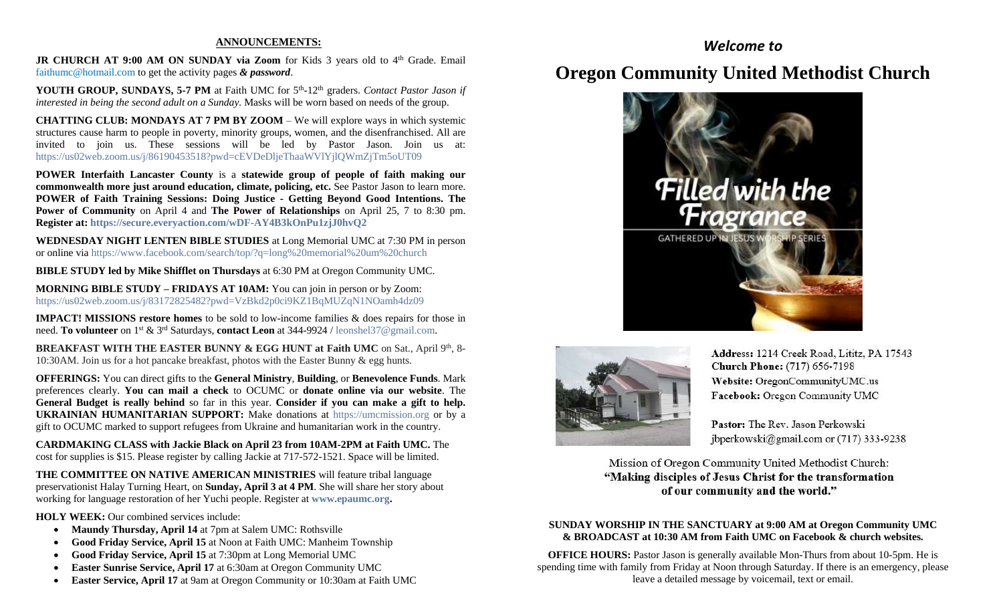### **ANNOUNCEMENTS:**

JR CHURCH AT 9:00 AM ON SUNDAY via Zoom for Kids 3 years old to 4<sup>th</sup> Grade. Email [faithumc@hotmail.com](about:blank) to get the activity pages *& password*.

YOUTH GROUP, SUNDAYS, 5-7 PM at Faith UMC for 5<sup>th</sup>-12<sup>th</sup> graders. *Contact Pastor Jason if interested in being the second adult on a Sunday.* Masks will be worn based on needs of the group.

**CHATTING CLUB: MONDAYS AT 7 PM BY ZOOM** – We will explore ways in which systemic structures cause harm to people in poverty, minority groups, women, and the disenfranchised. All are invited to join us. These sessions will be led by Pastor Jason. Join us at: [https://us02web.zoom.us/j/86190453518?pwd=cEVDeDljeThaaWVlYjlQWmZjTm5oUT09](about:blank)

**POWER Interfaith Lancaster County** is a **statewide group of people of faith making our commonwealth more just around education, climate, policing, etc.** See Pastor Jason to learn more. **POWER of Faith Training Sessions: Doing Justice - Getting Beyond Good Intentions. The Power of Community** on April 4 and **The Power of Relationships** on April 25, 7 to 8:30 pm. **Register at: [https://secure.everyaction.com/wDF-AY4B3kOnPu1zjJ0hvQ2](about:blank)**

**WEDNESDAY NIGHT LENTEN BIBLE STUDIES** at Long Memorial UMC at 7:30 PM in person or online via [https://www.facebook.com/search/top/?q=long%20memorial%20um%20church](about:blank)

**BIBLE STUDY led by Mike Shifflet on Thursdays** at 6:30 PM at Oregon Community UMC.

**MORNING BIBLE STUDY – FRIDAYS AT 10AM:** You can join in person or by Zoom: [https://us02web.zoom.us/j/83172825482?pwd=VzBkd2p0ci9KZ1BqMUZqN1NOamh4dz09](about:blank)

**IMPACT! MISSIONS restore homes** to be sold to low-income families & does repairs for those in need. **To volunteer** on 1st & 3rd Saturdays, **contact Leon** at 344-9924 / [leonshel37@gmail.com.](about:blank)

**BREAKFAST WITH THE EASTER BUNNY & EGG HUNT at Faith UMC** on Sat., April 9th, 8-10:30AM. Join us for a hot pancake breakfast, photos with the Easter Bunny & egg hunts.

**OFFERINGS:** You can direct gifts to the **General Ministry**, **Building**, or **Benevolence Funds**. Mark preferences clearly. **You can mail a check** to OCUMC or **donate online via our website**. The **General Budget is really behind** so far in this year. **Consider if you can make a gift to help. UKRAINIAN HUMANITARIAN SUPPORT:** Make donations at [https://umcmission.org](about:blank) or by a gift to OCUMC marked to support refugees from Ukraine and humanitarian work in the country.

**CARDMAKING CLASS with Jackie Black on April 23 from 10AM-2PM at Faith UMC.** The cost for supplies is \$15. Please register by calling Jackie at 717-572-1521. Space will be limited.

**THE COMMITTEE ON NATIVE AMERICAN MINISTRIES** will feature tribal language preservationist Halay Turning Heart, on **Sunday, April 3 at 4 PM**. She will share her story about working for language restoration of her Yuchi people. Register at **[www.epaumc.org.](about:blank)**

**HOLY WEEK:** Our combined services include:

- **Maundy Thursday, April 14** at 7pm at Salem UMC: Rothsville
- **Good Friday Service, April 15** at Noon at Faith UMC: Manheim Township
- **Good Friday Service, April 15** at 7:30pm at Long Memorial UMC
- **Easter Sunrise Service, April 17** at 6:30am at Oregon Community UMC
- **Easter Service, April 17** at 9am at Oregon Community or 10:30am at Faith UMC

## *Welcome to*

# **Oregon Community United Methodist Church**





Address: 1214 Creek Road, Lititz, PA 17543 **Church Phone:** (717) 656-7198 Website: OregonCommunityUMC.us Facebook: Oregon Community UMC

Pastor: The Rev. Jason Perkowski jbperkowski@gmail.com or (717) 333-9238

Mission of Oregon Community United Methodist Church: "Making disciples of Jesus Christ for the transformation of our community and the world."

### **SUNDAY WORSHIP IN THE SANCTUARY at 9:00 AM at Oregon Community UMC & BROADCAST at 10:30 AM from Faith UMC on Facebook & church websites.**

**OFFICE HOURS:** Pastor Jason is generally available Mon-Thurs from about 10-5pm. He is spending time with family from Friday at Noon through Saturday. If there is an emergency, please leave a detailed message by voicemail, text or email.